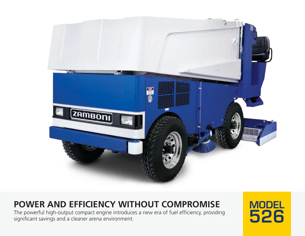

# **POWER AND EFFICIENCY WITHOUT COMPROMISE**

The powerful high-output compact engine introduces a new era of fuel efficiency, providing significant savings and a cleaner arena environment.

MODEL 526